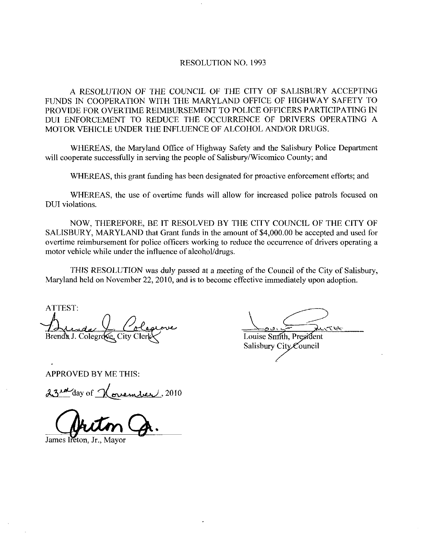## RESOLUTION NO. 1993

A RESOLUTION OF THE COUNCIL OF THE CITY OF SALISBURY ACCEPTING FUNDS IN COOPERATION WITH THE MARYLAND OFFICE OF HIGHWAY SAFETY TO PROVIDE FOR OVERTIME REIMBURSEMENT TO POLICE OFFICERS PARTICIPATING IN DUI ENFORCEMENT TO REDUCE THE OCCURRENCE OF DRIVERS OPERATING A<br>MOTOR VEHICLE UNDER THE INFLUENCE OF ALCOHOL AND/OR DRUGS.

WHEREAS, the Maryland Office of Highway Safety and the Salisbury Police Department MOTOR VEHICLE UNDER THE INFLUENCE OF ALCOHOL AND/OR DRUGS.<br>WHEREAS, the Maryland Office of Highway Safety and the Salisbury Polic<br>will cooperate successfully in serving the people of Salisbury/Wicomico County; and

WHEREAS, this grant funding has been designated for proactive enforcement efforts; and

WHEREAS, the use of overtime funds will allow for increased police patrols focused on DUI violations

NOW THEREFORE BE IT RESOLVED BY THE CITY COUNCIL OF THE CITY OF SALISBURY, MARYLAND that Grant funds in the amount of \$4,000.00 be accepted and used for overtime reimbursement for police officers working to reduce the occurrence of drivers operating <sup>a</sup> motor vehicle while under the influence of alcohol/drugs.

THIS RESOLUTION was duly passed at a meeting of the Council of the City of Salisbury, Maryland held on November 22, 2010, and is to become effective immediately upon adoption.

ATTEST Brenda J. Colegrove, City Clerk and Louise Smith, President

Salisbury City Council

APPROVED BY ME THIS

23 rue day of <u>November</u>, 2010

James Ireton, Jr.,